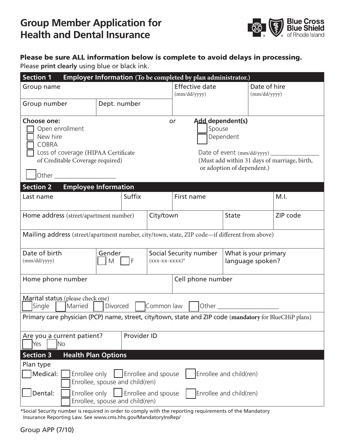

## Please be sure ALL information below is complete to avoid delays in processing.

Please **print clearly** using blue or black ink.

| Section 1                                                                                                                             |              |  |                   | Employer Information (To be completed by plan administrator.)                                                                      |              |                                          |          |  |  |
|---------------------------------------------------------------------------------------------------------------------------------------|--------------|--|-------------------|------------------------------------------------------------------------------------------------------------------------------------|--------------|------------------------------------------|----------|--|--|
| Group name                                                                                                                            |              |  |                   | <b>Effective date</b><br>(mm/dd/yyyy)                                                                                              |              | Date of hire<br>(mm/dd/yyyy)             |          |  |  |
| Group number                                                                                                                          | Dept. number |  |                   |                                                                                                                                    |              |                                          |          |  |  |
| Choose one:<br>Open enrollment<br>New hire<br><b>COBRA</b><br>Loss of coverage (HIPAA Certificate<br>of Creditable Coverage required) |              |  |                   | Add dependent(s)<br><b>or</b><br>Spouse<br>Dependent<br>(Must add within 31 days of marriage, birth,<br>or adoption of dependent.) |              |                                          |          |  |  |
| <b>Employee Information</b><br><b>Section 2</b><br><b>Suffix</b><br>Last name                                                         |              |  |                   | First name                                                                                                                         |              |                                          | M.I.     |  |  |
| Home address (street/apartment number)                                                                                                |              |  | City/town         |                                                                                                                                    | <b>State</b> |                                          | ZIP code |  |  |
| Mailing address (street/apartment number, city/town, state, ZIP code-if different from above)                                         |              |  |                   |                                                                                                                                    |              |                                          |          |  |  |
| Date of birth<br>Gender<br>(mm/dd/yyyy)<br>M<br>$\mathsf{F}$                                                                          |              |  | $(xxx-xx-xxxx)^*$ | Social Security number                                                                                                             |              | What is your primary<br>language spoken? |          |  |  |
| Cell phone number<br>Home phone number                                                                                                |              |  |                   |                                                                                                                                    |              |                                          |          |  |  |
| Marital status (please check one)<br>Common law   Other<br>Single<br>Married<br>Divorced                                              |              |  |                   |                                                                                                                                    |              |                                          |          |  |  |
| Primary care physician (PCP) name, street, city/town, state and ZIP code (mandatory for BlueCHiP plans)                               |              |  |                   |                                                                                                                                    |              |                                          |          |  |  |
| Provider ID<br>Are you a current patient?<br>Yes<br>No                                                                                |              |  |                   |                                                                                                                                    |              |                                          |          |  |  |
| <b>Section 3</b><br><b>Health Plan Options</b>                                                                                        |              |  |                   |                                                                                                                                    |              |                                          |          |  |  |
| Plan type<br>Enrollee and child(ren)<br>Medical:<br>Enrollee and spouse<br>Enrollee only<br>Enrollee, spouse and child(ren)           |              |  |                   |                                                                                                                                    |              |                                          |          |  |  |
| Enrollee only<br>Enrollee and spouse<br>Dental:<br>Enrollee and child(ren)<br>Enrollee, spouse and child(ren)                         |              |  |                   |                                                                                                                                    |              |                                          |          |  |  |

\*Social Security number is required in order to comply with the reporting requirements of the Mandatory Insurance Reporting Law. See www.cms.hhs.gov/MandatoryInsRep/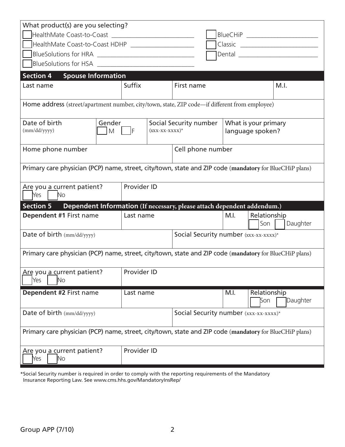| What product(s) are you selecting?                                                                      |                                  |                                       |                        |  |                                          |                     |          |  |
|---------------------------------------------------------------------------------------------------------|----------------------------------|---------------------------------------|------------------------|--|------------------------------------------|---------------------|----------|--|
|                                                                                                         | BlueCHiP _______________________ |                                       |                        |  |                                          |                     |          |  |
| HealthMate Coast-to-Coast HDHP ____________________                                                     |                                  |                                       |                        |  |                                          |                     |          |  |
|                                                                                                         |                                  |                                       |                        |  | Dental ___________________________       |                     |          |  |
|                                                                                                         |                                  |                                       |                        |  |                                          |                     |          |  |
| <b>Spouse Information</b><br><b>Section 4</b>                                                           |                                  |                                       |                        |  |                                          |                     |          |  |
| Last name                                                                                               | Suffix                           |                                       | First name             |  |                                          |                     | M.I.     |  |
| Home address (street/apartment number, city/town, state, ZIP code-if different from employee)           |                                  |                                       |                        |  |                                          |                     |          |  |
| Date of birth<br>Gender                                                                                 |                                  | $(xxx-xx-xxxx)^*$                     | Social Security number |  | What is your primary<br>language spoken? |                     |          |  |
| M<br>(mm/dd/yyyy)                                                                                       | IF                               |                                       |                        |  |                                          |                     |          |  |
| Home phone number                                                                                       |                                  |                                       | Cell phone number      |  |                                          |                     |          |  |
| Primary care physician (PCP) name, street, city/town, state and ZIP code (mandatory for BlueCHiP plans) |                                  |                                       |                        |  |                                          |                     |          |  |
| Provider ID<br>Are you a current patient?<br>Yes<br>No                                                  |                                  |                                       |                        |  |                                          |                     |          |  |
| Section 5<br>Dependent Information (If necessary, please attach dependent addendum.)                    |                                  |                                       |                        |  |                                          |                     |          |  |
| Dependent #1 First name                                                                                 | Last name                        |                                       |                        |  | M.I.                                     | Relationship        |          |  |
|                                                                                                         |                                  |                                       |                        |  |                                          | Son                 | Daughter |  |
| Date of birth (mm/dd/yyyy)                                                                              |                                  | Social Security number (xxx-xx-xxxx)* |                        |  |                                          |                     |          |  |
| Primary care physician (PCP) name, street, city/town, state and ZIP code (mandatory for BlueCHiP plans) |                                  |                                       |                        |  |                                          |                     |          |  |
| Are you a current patient?<br>Yes<br>N <sub>o</sub>                                                     | Provider ID                      |                                       |                        |  |                                          |                     |          |  |
| Dependent #2 First name                                                                                 | Last name                        |                                       |                        |  | M.I.                                     | Relationship<br>Son | Daughter |  |
| Date of birth (mm/dd/yyyy)                                                                              |                                  | Social Security number (xxx-xx-xxxx)* |                        |  |                                          |                     |          |  |
| Primary care physician (PCP) name, street, city/town, state and ZIP code (mandatory for BlueCHiP plans) |                                  |                                       |                        |  |                                          |                     |          |  |
| Are you a current patient?<br>N <sub>o</sub><br>Yes                                                     | Provider ID                      |                                       |                        |  |                                          |                     |          |  |

\*Social Security number is required in order to comply with the reporting requirements of the Mandatory Insurance Reporting Law. See www.cms.hhs.gov/MandatoryInsRep/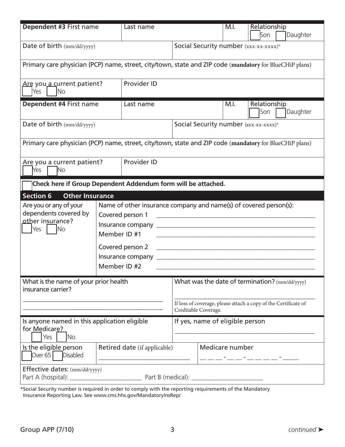| Dependent #3 First name                                                                                 |                              | Last name                                                                                                 |                                                                                                                                           |  |                 | Relationship                                                                                                                                                                                                                                                                                                                                                                                                                                                                                                                                                                                                                  |          |  |
|---------------------------------------------------------------------------------------------------------|------------------------------|-----------------------------------------------------------------------------------------------------------|-------------------------------------------------------------------------------------------------------------------------------------------|--|-----------------|-------------------------------------------------------------------------------------------------------------------------------------------------------------------------------------------------------------------------------------------------------------------------------------------------------------------------------------------------------------------------------------------------------------------------------------------------------------------------------------------------------------------------------------------------------------------------------------------------------------------------------|----------|--|
|                                                                                                         |                              |                                                                                                           |                                                                                                                                           |  |                 | Son                                                                                                                                                                                                                                                                                                                                                                                                                                                                                                                                                                                                                           | Daughter |  |
| Date of birth (mm/dd/yyyy)                                                                              |                              | Social Security number (xxx-xx-xxxx)*                                                                     |                                                                                                                                           |  |                 |                                                                                                                                                                                                                                                                                                                                                                                                                                                                                                                                                                                                                               |          |  |
| Primary care physician (PCP) name, street, city/town, state and ZIP code (mandatory for BlueCHiP plans) |                              |                                                                                                           |                                                                                                                                           |  |                 |                                                                                                                                                                                                                                                                                                                                                                                                                                                                                                                                                                                                                               |          |  |
| Are you a current patient?<br>Yes<br>N <sub>o</sub>                                                     |                              | Provider ID                                                                                               |                                                                                                                                           |  |                 |                                                                                                                                                                                                                                                                                                                                                                                                                                                                                                                                                                                                                               |          |  |
| Dependent #4 First name                                                                                 |                              | Last name                                                                                                 |                                                                                                                                           |  | M.I.            | Relationship<br>Son                                                                                                                                                                                                                                                                                                                                                                                                                                                                                                                                                                                                           | Daughter |  |
| Date of birth (mm/dd/yyyy)                                                                              |                              |                                                                                                           |                                                                                                                                           |  |                 | Social Security number (xxx-xx-xxxx)*                                                                                                                                                                                                                                                                                                                                                                                                                                                                                                                                                                                         |          |  |
| Primary care physician (PCP) name, street, city/town, state and ZIP code (mandatory for BlueCHiP plans) |                              |                                                                                                           |                                                                                                                                           |  |                 |                                                                                                                                                                                                                                                                                                                                                                                                                                                                                                                                                                                                                               |          |  |
| Are you a current patient?<br><b>No</b><br>Yes                                                          | Provider ID                  |                                                                                                           |                                                                                                                                           |  |                 |                                                                                                                                                                                                                                                                                                                                                                                                                                                                                                                                                                                                                               |          |  |
| Check here if Group Dependent Addendum form will be attached.                                           |                              |                                                                                                           |                                                                                                                                           |  |                 |                                                                                                                                                                                                                                                                                                                                                                                                                                                                                                                                                                                                                               |          |  |
| <b>Other Insurance</b><br><b>Section 6</b>                                                              |                              |                                                                                                           |                                                                                                                                           |  |                 |                                                                                                                                                                                                                                                                                                                                                                                                                                                                                                                                                                                                                               |          |  |
| Are you or any of your<br>dependents covered by<br>other insurance?<br>Yes<br>No                        | Member ID #1<br>Member ID #2 | Name of other insurance company and name(s) of covered person(s):<br>Covered person 1<br>Covered person 2 |                                                                                                                                           |  |                 | $\begin{minipage}[c]{0.9\linewidth} \begin{tabular}{l} \hline \textbf{r} & \textbf{r} & \textbf{r} & \textbf{r} & \textbf{r} & \textbf{r} & \textbf{r} & \textbf{r} & \textbf{r} & \textbf{r} & \textbf{r} & \textbf{r} & \textbf{r} & \textbf{r} & \textbf{r} & \textbf{r} & \textbf{r} & \textbf{r} & \textbf{r} & \textbf{r} & \textbf{r} & \textbf{r} & \textbf{r} & \textbf{r} & \textbf{r} & \textbf{r} & \textbf{r} & \textbf{r$<br><u> 1980 - John Stein, Amerikaansk politiker (* 1900)</u><br><u> 1989 - Johann Stoff, deutscher Stoff, der Stoff, der Stoff, der Stoff, der Stoff, der Stoff, der Stoff, der S</u> |          |  |
| What is the name of your prior health<br>insurance carrier?                                             |                              |                                                                                                           | What was the date of termination? (mm/dd/yyyy)<br>If loss of coverage, please attach a copy of the Certificate of<br>Creditable Coverage. |  |                 |                                                                                                                                                                                                                                                                                                                                                                                                                                                                                                                                                                                                                               |          |  |
| Is anyone named in this application eligible<br>for Medicare?<br><b>No</b><br>Yes                       |                              |                                                                                                           | If yes, name of eligible person                                                                                                           |  |                 |                                                                                                                                                                                                                                                                                                                                                                                                                                                                                                                                                                                                                               |          |  |
| Is the eligible person<br>Over 65<br><b>Disabled</b>                                                    |                              | Retired date (if applicable)                                                                              |                                                                                                                                           |  | Medicare number |                                                                                                                                                                                                                                                                                                                                                                                                                                                                                                                                                                                                                               |          |  |
| Effective dates: (mm/dd/yyyy)                                                                           |                              | Part B (medical): __                                                                                      |                                                                                                                                           |  |                 |                                                                                                                                                                                                                                                                                                                                                                                                                                                                                                                                                                                                                               |          |  |

\*Social Security number is required in order to comply with the reporting requirements of the Mandatory Insurance Reporting Law. See www.cms.hhs.gov/MandatoryInsRep/